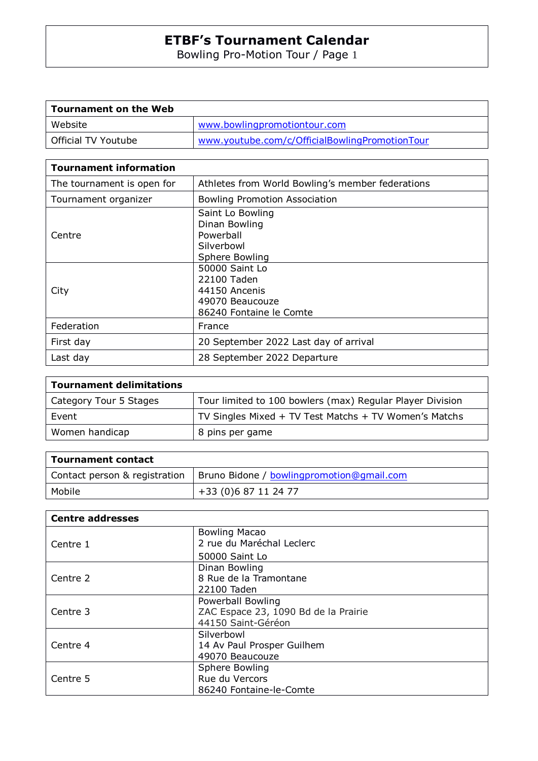| <b>Tournament on the Web</b> |                                                |
|------------------------------|------------------------------------------------|
| Website                      | www.bowlingpromotiontour.com                   |
| <b>Official TV Youtube</b>   | www.youtube.com/c/OfficialBowlingPromotionTour |

| <b>Tournament information</b> |                                                                                              |  |  |  |  |
|-------------------------------|----------------------------------------------------------------------------------------------|--|--|--|--|
| The tournament is open for    | Athletes from World Bowling's member federations                                             |  |  |  |  |
| Tournament organizer          | <b>Bowling Promotion Association</b>                                                         |  |  |  |  |
| Centre                        | Saint Lo Bowling<br>Dinan Bowling<br>Powerball<br>Silverbowl<br>Sphere Bowling               |  |  |  |  |
| City                          | 50000 Saint Lo<br>22100 Taden<br>44150 Ancenis<br>49070 Beaucouze<br>86240 Fontaine le Comte |  |  |  |  |
| Federation                    | France                                                                                       |  |  |  |  |
| First day                     | 20 September 2022 Last day of arrival                                                        |  |  |  |  |
| Last day                      | 28 September 2022 Departure                                                                  |  |  |  |  |

| <b>Tournament delimitations</b> |                                                           |
|---------------------------------|-----------------------------------------------------------|
| Category Tour 5 Stages          | Tour limited to 100 bowlers (max) Regular Player Division |
| Event                           | TV Singles Mixed + TV Test Matchs + TV Women's Matchs     |
| Women handicap                  | 8 pins per game                                           |

| Tournament contact            |                                           |  |  |  |
|-------------------------------|-------------------------------------------|--|--|--|
| Contact person & registration | Bruno Bidone / bowlingpromotion@gmail.com |  |  |  |
| Mobile                        | +33 (0)6 87 11 24 77                      |  |  |  |

| <b>Centre addresses</b> |                                      |
|-------------------------|--------------------------------------|
|                         | <b>Bowling Macao</b>                 |
| Centre 1                | 2 rue du Maréchal Leclerc            |
|                         | 50000 Saint Lo                       |
|                         | Dinan Bowling                        |
| Centre 2                | 8 Rue de la Tramontane               |
|                         | 22100 Taden                          |
|                         | Powerball Bowling                    |
| Centre 3                | ZAC Espace 23, 1090 Bd de la Prairie |
|                         | 44150 Saint-Géréon                   |
|                         | Silverbowl                           |
| Centre 4                | 14 Av Paul Prosper Guilhem           |
|                         | 49070 Beaucouze                      |
|                         | Sphere Bowling                       |
| Centre 5                | Rue du Vercors                       |
|                         | 86240 Fontaine-le-Comte              |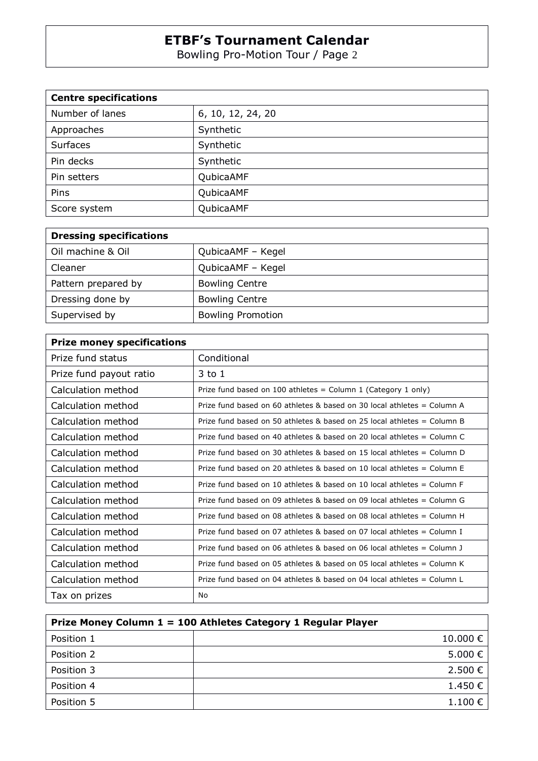| <b>Centre specifications</b> |                   |  |  |  |
|------------------------------|-------------------|--|--|--|
| Number of lanes              | 6, 10, 12, 24, 20 |  |  |  |
| Approaches                   | Synthetic         |  |  |  |
| <b>Surfaces</b>              | Synthetic         |  |  |  |
| Pin decks                    | Synthetic         |  |  |  |
| Pin setters                  | QubicaAMF         |  |  |  |
| Pins                         | QubicaAMF         |  |  |  |
| Score system                 | QubicaAMF         |  |  |  |

| <b>Dressing specifications</b> |                          |
|--------------------------------|--------------------------|
| Oil machine & Oil              | QubicaAMF - Kegel        |
| Cleaner                        | QubicaAMF - Kegel        |
| Pattern prepared by            | <b>Bowling Centre</b>    |
| Dressing done by               | <b>Bowling Centre</b>    |
| Supervised by                  | <b>Bowling Promotion</b> |

| <b>Prize money specifications</b> |                                                                           |
|-----------------------------------|---------------------------------------------------------------------------|
| Prize fund status                 | Conditional                                                               |
| Prize fund payout ratio           | 3 to 1                                                                    |
| Calculation method                | Prize fund based on 100 athletes = Column 1 (Category 1 only)             |
| Calculation method                | Prize fund based on 60 athletes & based on 30 local athletes = Column A   |
| Calculation method                | Prize fund based on 50 athletes & based on 25 local athletes = Column B   |
| Calculation method                | Prize fund based on 40 athletes & based on 20 local athletes $=$ Column C |
| Calculation method                | Prize fund based on 30 athletes & based on 15 local athletes $=$ Column D |
| Calculation method                | Prize fund based on 20 athletes & based on 10 local athletes = Column E   |
| Calculation method                | Prize fund based on 10 athletes & based on 10 local athletes = Column F   |
| Calculation method                | Prize fund based on 09 athletes & based on 09 local athletes $=$ Column G |
| Calculation method                | Prize fund based on 08 athletes & based on 08 local athletes = Column H   |
| Calculation method                | Prize fund based on 07 athletes & based on 07 local athletes = Column I   |
| Calculation method                | Prize fund based on 06 athletes & based on 06 local athletes $=$ Column I |
| Calculation method                | Prize fund based on 05 athletes & based on 05 local athletes = Column K   |
| Calculation method                | Prize fund based on 04 athletes & based on 04 local athletes = Column L   |
| Tax on prizes                     | No                                                                        |

|            | Prize Money Column 1 = 100 Athletes Category 1 Regular Player |
|------------|---------------------------------------------------------------|
| Position 1 | 10.000 €                                                      |
| Position 2 | 5.000 €                                                       |
| Position 3 | 2.500 €                                                       |
| Position 4 | 1.450 €                                                       |
| Position 5 | $1.100 \in$                                                   |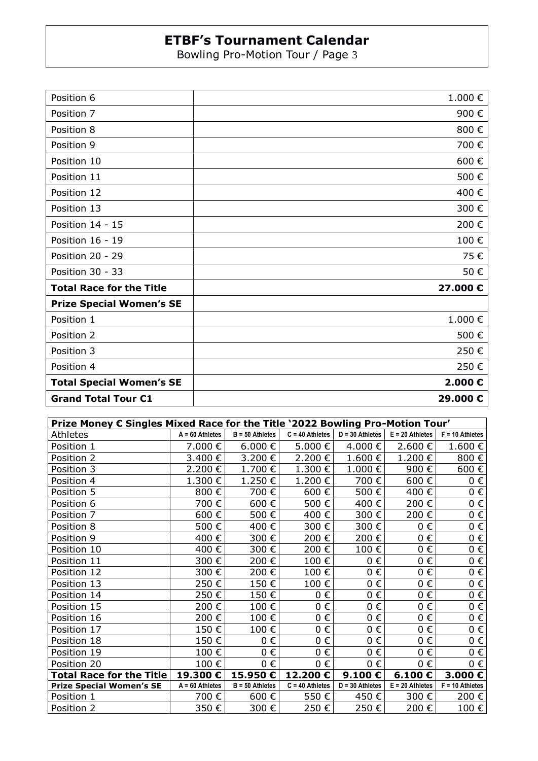| Position 6                      | 1.000€  |
|---------------------------------|---------|
| Position 7                      | 900€    |
| Position 8                      | 800€    |
| Position 9                      | 700€    |
| Position 10                     | 600€    |
| Position 11                     | 500€    |
| Position 12                     | 400€    |
| Position 13                     | 300€    |
| Position 14 - 15                | 200€    |
| Position 16 - 19                | 100€    |
| Position 20 - 29                | 75€     |
| Position 30 - 33                | 50€     |
| <b>Total Race for the Title</b> | 27.000€ |
| <b>Prize Special Women's SE</b> |         |
| Position 1                      | 1.000€  |
| Position 2                      | 500€    |
| Position 3                      | 250€    |
| Position 4                      | 250€    |
| <b>Total Special Women's SE</b> | 2.000€  |
| <b>Grand Total Tour C1</b>      | 29.000€ |

| Prize Money € Singles Mixed Race for the Title `2022 Bowling Pro-Motion Tour' |                   |                   |                   |                   |                     |                   |
|-------------------------------------------------------------------------------|-------------------|-------------------|-------------------|-------------------|---------------------|-------------------|
| Athletes                                                                      | $A = 60$ Athletes | $B = 50$ Athletes | $C = 40$ Athletes | $D = 30$ Athletes | $E = 20$ Athletes   | $F = 10$ Athletes |
| Position 1                                                                    | 7.000€            | 6.000 €           | 5.000 €           | 4.000 €           | 2.600€              | 1.600 €           |
| Position 2                                                                    | 3.400€            | 3.200€            | 2.200€            | 1.600€            | 1.200€              | 800€              |
| Position 3                                                                    | 2.200€            | 1.700€            | 1.300 €           | 1.000€            | 900€                | 600€              |
| Position 4                                                                    | 1.300€            | 1.250€            | 1.200€            | 700€              | 600€                | $0 \in$           |
| Position 5                                                                    | 800€              | 700€              | 600€              | 500€              | 400€                | $0 \in$           |
| Position 6                                                                    | 700€              | 600€              | 500€              | 400€              | 200€                | $0 \in$           |
| Position 7                                                                    | 600€              | 500€              | 400€              | 300€              | 200€                | 0€                |
| Position 8                                                                    | 500€              | 400€              | 300€              | 300€              | $0 \in$             | $0 \in$           |
| Position 9                                                                    | 400€              | 300€              | 200€              | 200€              | €<br>$\mathbf{0}$   | 0€                |
| Position 10                                                                   | 400€              | 300€              | 200€              | 100€              | $0 \in$             | $0 \in$           |
| Position 11                                                                   | 300€              | 200€              | 100€              | $0 \in$           | 0€                  | $0 \in$           |
| Position 12                                                                   | 300€              | 200€              | 100€              | $0 \in$           | $0 \in$             | $0 \in$           |
| Position 13                                                                   | 250€              | 150€              | 100€              | $0 \in$           | $0 \in$             | $0 \in$           |
| Position 14                                                                   | 250€              | 150€              | 0€                | $0 \in$           | 0€                  | 0€                |
| Position 15                                                                   | 200€              | 100€              | 0€                | $0 \in$           | 0€                  | $0 \in$           |
| Position 16                                                                   | 200€              | 100€              | 0€                | $0 \in$           | 0€                  | 0€                |
| Position 17                                                                   | 150€              | 100€              | 0€                | $0 \in$           | $0 \in$             | 0€                |
| Position 18                                                                   | 150€              | 0€                | 0€                | 0€                | €<br>0              | 0€                |
| Position 19                                                                   | 100€              | 0€                | 0€                | 0€                | €<br>$\overline{0}$ | $0 \in$           |
| Position 20                                                                   | 100€              | 0€                | $0 \in$           | 0€                | $\mathbf 0$<br>€    | $0 \in$           |
| Total Race for the Title $\mid$                                               | 19.300€           | 15.950€           | 12.200€           | 9.100€            | 6.100 $\epsilon$    | 3.000€            |
| <b>Prize Special Women's SE</b>                                               | $A = 60$ Athletes | $B = 50$ Athletes | $C = 40$ Athletes | $D = 30$ Athletes | $E = 20$ Athletes   | $F = 10$ Athletes |
| Position 1                                                                    | 700 €             | 600€              | 550€              | 450€              | 300€                | 200€              |
| Position 2                                                                    | 350€              | 300€              | 250€              | 250€              | 200€                | 100€              |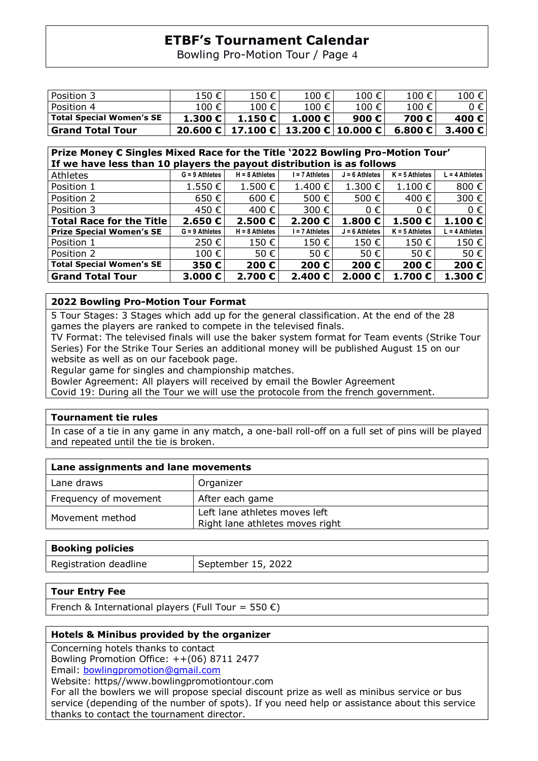Bowling Pro-Motion Tour / Page 4

| Position 3               | 150€                    | 150€   | 100€                         | 100€           | 100€    | 100 €   |
|--------------------------|-------------------------|--------|------------------------------|----------------|---------|---------|
| Position 4               | 100 €                   | 100 €  | 100€                         | 100€           | 100 €   | 0 €     |
| Total Special Women's SE | 1.300 $\epsilon$        | 1.150E | 1.000 $\epsilon$             | 900 $\epsilon$ | 700 €   | 400 € I |
| l Grand Total Tour       | 20.600 € $\blacksquare$ |        | 17.100 € 13.200 € 10.000 € I |                | 6.800 E | 3.400 € |

| Prize Money € Singles Mixed Race for the Title '2022 Bowling Pro-Motion Tour' |
|-------------------------------------------------------------------------------|
| If we have less than 10 players the payout distribution is as follows         |

| If we have less than IV players the payout distribution is as follows |                  |                  |                |                  |                  |                  |
|-----------------------------------------------------------------------|------------------|------------------|----------------|------------------|------------------|------------------|
| Athletes                                                              | $G = 9$ Athletes | $H = 8$ Athletes | I = 7 Athletes | $J = 6$ Athletes | $K = 5$ Athletes | $L = 4$ Athletes |
| Position 1                                                            | $1.550 \in$      | $1.500 \in$      | $1.400 \in$    | 1.300€           | 1.100 €          | 800€             |
| Position 2                                                            | 650 €            | 600€             | 500€           | 500€             | 400€             | 300€             |
| Position 3                                                            | 450 €            | 400€             | 300€           | $0 \in$          | $0 \in$          | $0 \in$          |
| $\mid$ Total Race for the Title $\mid$                                | 2.650 €          | 2.500 E          | 2.200 €        | 1.800 $\epsilon$ | 1.500 $\epsilon$ | 1.100E           |
| <b>Prize Special Women's SE</b>                                       | $G = 9$ Athletes | $H = 8$ Athletes | l = 7 Athletes | $J = 6$ Athletes | $K = 5$ Athletes | L = 4 Athletes   |
| Position 1                                                            | 250€             | 150€             | 150€           | 150€             | 150€             | 150€             |
| Position 2                                                            | 100€             | 50€              | 50€            | 50€              | 50 €             | 50€              |
| <b>Total Special Women's SE</b>                                       | 350€             | 200€             | 200€           | 200€             | 200€             | 200€             |
| <b>Grand Total Tour</b>                                               | 3.000 $\epsilon$ | 2.700€           | 2.400€         | 2.000€           | 1.700€           | 1.300 $\epsilon$ |

#### **2022 Bowling Pro-Motion Tour Format**

5 Tour Stages: 3 Stages which add up for the general classification. At the end of the 28 games the players are ranked to compete in the televised finals.

TV Format: The televised finals will use the baker system format for Team events (Strike Tour Series) For the Strike Tour Series an additional money will be published August 15 on our website as well as on our facebook page.

Regular game for singles and championship matches.

Bowler Agreement: All players will received by email the Bowler Agreement

Covid 19: During all the Tour we will use the protocole from the french government.

#### **Tournament tie rules**

In case of a tie in any game in any match, a one-ball roll-off on a full set of pins will be played and repeated until the tie is broken.

| Lane assignments and lane movements |                                                                  |  |  |  |
|-------------------------------------|------------------------------------------------------------------|--|--|--|
| Lane draws                          | Organizer                                                        |  |  |  |
| Frequency of movement               | After each game                                                  |  |  |  |
| Movement method                     | Left lane athletes moves left<br>Right lane athletes moves right |  |  |  |

| <b>Booking policies</b> |                    |
|-------------------------|--------------------|
| Registration deadline   | September 15, 2022 |
|                         |                    |

#### **Tour Entry Fee**

French & International players (Full Tour = 550  $\epsilon$ )

#### **Hotels & Minibus provided by the organizer**

Concerning hotels thanks to contact Bowling Promotion Office: ++(06) 8711 2477

Email: [bowlingpromotion@gmail.com](mailto:bowlingpromotion@gmail.com)

Website: https//www.bowlingpromotiontour.com

For all the bowlers we will propose special discount prize as well as minibus service or bus service (depending of the number of spots). If you need help or assistance about this service thanks to contact the tournament director.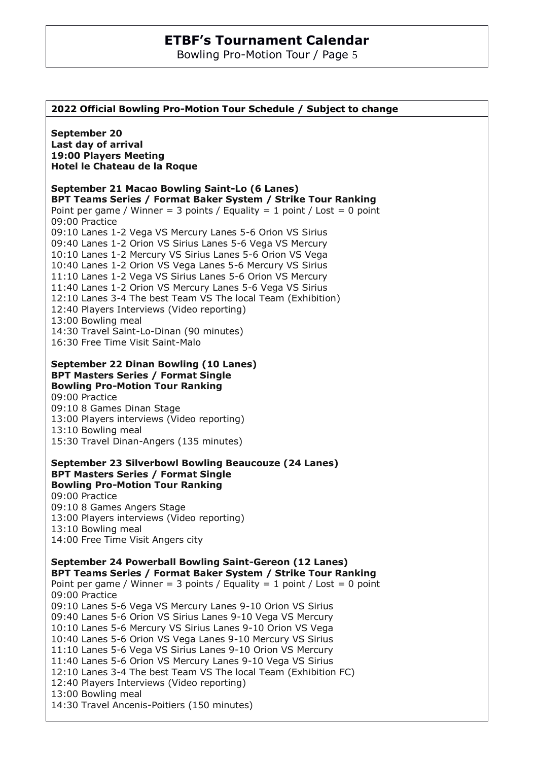| 2022 Official Bowling Pro-Motion Tour Schedule / Subject to change                                                                                                                                                                                                                                                                                                                                                                                                                                                                                                     |
|------------------------------------------------------------------------------------------------------------------------------------------------------------------------------------------------------------------------------------------------------------------------------------------------------------------------------------------------------------------------------------------------------------------------------------------------------------------------------------------------------------------------------------------------------------------------|
| <b>September 20</b><br>Last day of arrival<br><b>19:00 Players Meeting</b><br>Hotel le Chateau de la Roque                                                                                                                                                                                                                                                                                                                                                                                                                                                             |
| September 21 Macao Bowling Saint-Lo (6 Lanes)<br>BPT Teams Series / Format Baker System / Strike Tour Ranking<br>Point per game / Winner = 3 points / Equality = 1 point / Lost = 0 point<br>09:00 Practice                                                                                                                                                                                                                                                                                                                                                            |
| 09:10 Lanes 1-2 Vega VS Mercury Lanes 5-6 Orion VS Sirius<br>09:40 Lanes 1-2 Orion VS Sirius Lanes 5-6 Vega VS Mercury<br>10:10 Lanes 1-2 Mercury VS Sirius Lanes 5-6 Orion VS Vega<br>10:40 Lanes 1-2 Orion VS Vega Lanes 5-6 Mercury VS Sirius<br>11:10 Lanes 1-2 Vega VS Sirius Lanes 5-6 Orion VS Mercury<br>11:40 Lanes 1-2 Orion VS Mercury Lanes 5-6 Vega VS Sirius<br>12:10 Lanes 3-4 The best Team VS The local Team (Exhibition)<br>12:40 Players Interviews (Video reporting)                                                                               |
| 13:00 Bowling meal<br>14:30 Travel Saint-Lo-Dinan (90 minutes)<br>16:30 Free Time Visit Saint-Malo                                                                                                                                                                                                                                                                                                                                                                                                                                                                     |
| <b>September 22 Dinan Bowling (10 Lanes)</b><br><b>BPT Masters Series / Format Single</b><br><b>Bowling Pro-Motion Tour Ranking</b><br>09:00 Practice<br>09:10 8 Games Dinan Stage<br>13:00 Players interviews (Video reporting)<br>13:10 Bowling meal<br>15:30 Travel Dinan-Angers (135 minutes)                                                                                                                                                                                                                                                                      |
| September 23 Silverbowl Bowling Beaucouze (24 Lanes)<br><b>BPT Masters Series / Format Single</b><br><b>Bowling Pro-Motion Tour Ranking</b><br>09:00 Practice<br>09:10 8 Games Angers Stage<br>13:00 Players interviews (Video reporting)<br>13:10 Bowling meal<br>14:00 Free Time Visit Angers city                                                                                                                                                                                                                                                                   |
| September 24 Powerball Bowling Saint-Gereon (12 Lanes)<br>BPT Teams Series / Format Baker System / Strike Tour Ranking<br>Point per game / Winner = 3 points / Equality = 1 point / Lost = 0 point<br>09:00 Practice                                                                                                                                                                                                                                                                                                                                                   |
| 09:10 Lanes 5-6 Vega VS Mercury Lanes 9-10 Orion VS Sirius<br>09:40 Lanes 5-6 Orion VS Sirius Lanes 9-10 Vega VS Mercury<br>10:10 Lanes 5-6 Mercury VS Sirius Lanes 9-10 Orion VS Vega<br>10:40 Lanes 5-6 Orion VS Vega Lanes 9-10 Mercury VS Sirius<br>11:10 Lanes 5-6 Vega VS Sirius Lanes 9-10 Orion VS Mercury<br>11:40 Lanes 5-6 Orion VS Mercury Lanes 9-10 Vega VS Sirius<br>12:10 Lanes 3-4 The best Team VS The local Team (Exhibition FC)<br>12:40 Players Interviews (Video reporting)<br>13:00 Bowling meal<br>14:30 Travel Ancenis-Poitiers (150 minutes) |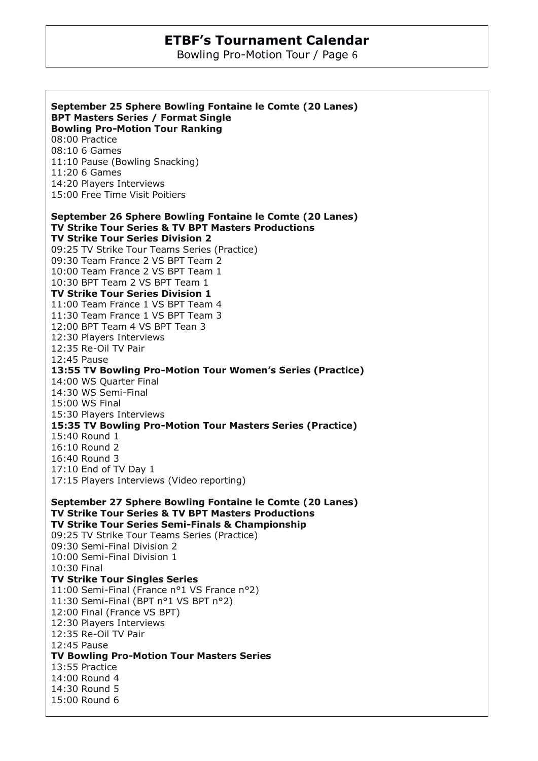| September 25 Sphere Bowling Fontaine le Comte (20 Lanes)                                                                  |
|---------------------------------------------------------------------------------------------------------------------------|
| <b>BPT Masters Series / Format Single</b>                                                                                 |
| <b>Bowling Pro-Motion Tour Ranking</b>                                                                                    |
| 08:00 Practice                                                                                                            |
| 08:10 6 Games                                                                                                             |
| 11:10 Pause (Bowling Snacking)                                                                                            |
| 11:20 6 Games                                                                                                             |
| 14:20 Players Interviews                                                                                                  |
| 15:00 Free Time Visit Poitiers                                                                                            |
| September 26 Sphere Bowling Fontaine le Comte (20 Lanes)<br><b>TV Strike Tour Series &amp; TV BPT Masters Productions</b> |
| <b>TV Strike Tour Series Division 2</b>                                                                                   |
| 09:25 TV Strike Tour Teams Series (Practice)<br>09:30 Team France 2 VS BPT Team 2                                         |
|                                                                                                                           |
| 10:00 Team France 2 VS BPT Team 1<br>10:30 BPT Team 2 VS BPT Team 1                                                       |
|                                                                                                                           |
| <b>TV Strike Tour Series Division 1</b>                                                                                   |
| 11:00 Team France 1 VS BPT Team 4                                                                                         |
| 11:30 Team France 1 VS BPT Team 3                                                                                         |
| 12:00 BPT Team 4 VS BPT Tean 3                                                                                            |
| 12:30 Players Interviews                                                                                                  |
| 12:35 Re-Oil TV Pair                                                                                                      |
| 12:45 Pause                                                                                                               |
| 13:55 TV Bowling Pro-Motion Tour Women's Series (Practice)<br>14:00 WS Quarter Final                                      |
| 14:30 WS Semi-Final                                                                                                       |
| 15:00 WS Final                                                                                                            |
|                                                                                                                           |
| 15:30 Players Interviews                                                                                                  |
| 15:35 TV Bowling Pro-Motion Tour Masters Series (Practice)                                                                |
| 15:40 Round 1                                                                                                             |
| 16:10 Round 2                                                                                                             |
| 16:40 Round 3                                                                                                             |
| 17:10 End of TV Day 1                                                                                                     |
| 17:15 Players Interviews (Video reporting)                                                                                |
| September 27 Sphere Bowling Fontaine le Comte (20 Lanes)<br><b>TV Strike Tour Series &amp; TV BPT Masters Productions</b> |
| TV Strike Tour Series Semi-Finals & Championship                                                                          |
| 09:25 TV Strike Tour Teams Series (Practice)<br>09:30 Semi-Final Division 2                                               |
| 10:00 Semi-Final Division 1                                                                                               |
|                                                                                                                           |
| 10:30 Final                                                                                                               |
| <b>TV Strike Tour Singles Series</b><br>11:00 Semi-Final (France n°1 VS France n°2)                                       |
|                                                                                                                           |
| 11:30 Semi-Final (BPT n°1 VS BPT n°2)                                                                                     |
| 12:00 Final (France VS BPT)                                                                                               |
| 12:30 Players Interviews                                                                                                  |
| 12:35 Re-Oil TV Pair                                                                                                      |
| 12:45 Pause                                                                                                               |
| <b>TV Bowling Pro-Motion Tour Masters Series</b><br>13:55 Practice                                                        |
|                                                                                                                           |
| 14:00 Round 4                                                                                                             |
| 14:30 Round 5                                                                                                             |
| 15:00 Round 6                                                                                                             |